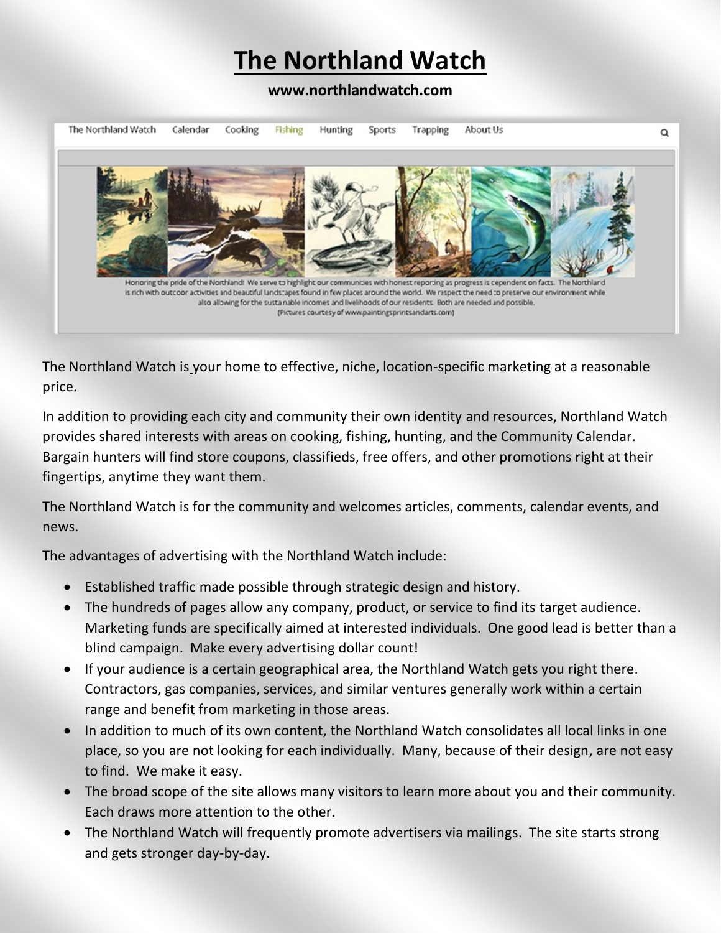# **The Northland Watch**

#### **www.northlandwatch.com**



The Northland Watch is your home to effective, niche, location-specific marketing at a reasonable price.

In addition to providing each city and community their own identity and resources, Northland Watch provides shared interests with areas on cooking, fishing, hunting, and the Community Calendar. Bargain hunters will find store coupons, classifieds, free offers, and other promotions right at their fingertips, anytime they want them.

The Northland Watch is for the community and welcomes articles, comments, calendar events, and news.

The advantages of advertising with the Northland Watch include:

- Established traffic made possible through strategic design and history.
- The hundreds of pages allow any company, product, or service to find its target audience. Marketing funds are specifically aimed at interested individuals. One good lead is better than a blind campaign. Make every advertising dollar count!
- If your audience is a certain geographical area, the Northland Watch gets you right there. Contractors, gas companies, services, and similar ventures generally work within a certain range and benefit from marketing in those areas.
- In addition to much of its own content, the Northland Watch consolidates all local links in one place, so you are not looking for each individually. Many, because of their design, are not easy to find. We make it easy.
- The broad scope of the site allows many visitors to learn more about you and their community. Each draws more attention to the other.
- The Northland Watch will frequently promote advertisers via mailings. The site starts strong and gets stronger day-by-day.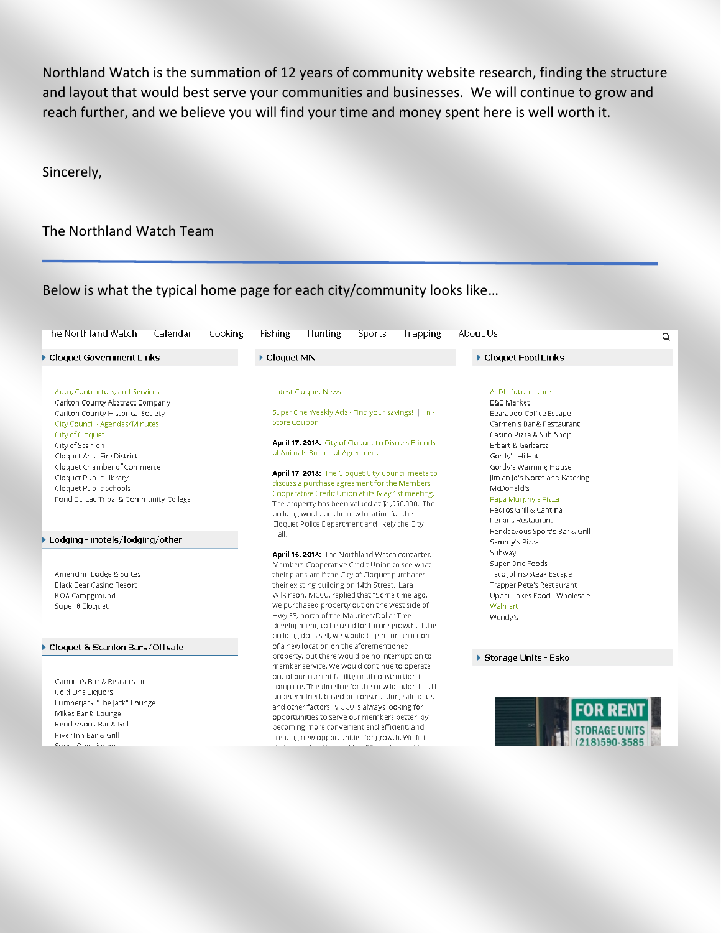Northland Watch is the summation of 12 years of community website research, finding the structure and layout that would best serve your communities and businesses. We will continue to grow and reach further, and we believe you will find your time and money spent here is well worth it.

#### Sincerely,

#### The Northland Watch Team

#### Below is what the typical home page for each city/community looks like…

| Auto, Contractors, and Services<br>Latest Cloquet News<br>Carlton County Abstract Company<br>Super One Weekly Ads - Find your savings!   In -<br>Carlton County Historical Society<br><b>Store Coupon</b><br>City Council - Agendas/Minutes<br>City of Cloquet<br>April 17, 2018: City of Cloquet to Discuss Friends<br>City of Scanlon<br>of Animals Breach of Agreement<br>Cloquet Area Fire District<br>Cloquet Chamber of Commerce<br>Cloquet Public Library<br>Cloquet Public Schools<br>Fond Du Lac Tribal & Community College<br>The property has been valued at \$1,950.000. The<br>building would be the new location for the<br>Cloquet Police Department and likely the City<br>Hall.<br>Lodging - motels/lodging/other<br>Americinn Lodge & Suites<br>their plans are if the City of Cloquet purchases<br>Black Bear Casino Resort<br>their existing building on 14th Street. Lara<br>Wilkinson, MCCU, replied that "Some time ago,<br>KOA Campground<br>we purchased property out on the west side of<br>Super 8 Cloquet<br>Hwy 33, north of the Maurices/Dollar Tree<br>development, to be used for future growth. If the<br>of a new location on the aforementioned<br>Cloquet & Scanlon Bars/Offsale<br>member service. We would continue to operate<br>out of our current facility until construction is<br>Carmen's Bar & Restaurant | <b>Cloquet Food Links</b>                               | ▶ Cloquet MN                                         | Cloquet Government Links |
|--------------------------------------------------------------------------------------------------------------------------------------------------------------------------------------------------------------------------------------------------------------------------------------------------------------------------------------------------------------------------------------------------------------------------------------------------------------------------------------------------------------------------------------------------------------------------------------------------------------------------------------------------------------------------------------------------------------------------------------------------------------------------------------------------------------------------------------------------------------------------------------------------------------------------------------------------------------------------------------------------------------------------------------------------------------------------------------------------------------------------------------------------------------------------------------------------------------------------------------------------------------------------------------------------------------------------------------------------------|---------------------------------------------------------|------------------------------------------------------|--------------------------|
|                                                                                                                                                                                                                                                                                                                                                                                                                                                                                                                                                                                                                                                                                                                                                                                                                                                                                                                                                                                                                                                                                                                                                                                                                                                                                                                                                        | ALDI - future store                                     |                                                      |                          |
|                                                                                                                                                                                                                                                                                                                                                                                                                                                                                                                                                                                                                                                                                                                                                                                                                                                                                                                                                                                                                                                                                                                                                                                                                                                                                                                                                        | <b>B&amp;B Market</b>                                   |                                                      |                          |
|                                                                                                                                                                                                                                                                                                                                                                                                                                                                                                                                                                                                                                                                                                                                                                                                                                                                                                                                                                                                                                                                                                                                                                                                                                                                                                                                                        | Bearaboo Coffee Escape                                  |                                                      |                          |
|                                                                                                                                                                                                                                                                                                                                                                                                                                                                                                                                                                                                                                                                                                                                                                                                                                                                                                                                                                                                                                                                                                                                                                                                                                                                                                                                                        | Carmen's Bar & Restaurant                               |                                                      |                          |
|                                                                                                                                                                                                                                                                                                                                                                                                                                                                                                                                                                                                                                                                                                                                                                                                                                                                                                                                                                                                                                                                                                                                                                                                                                                                                                                                                        | Casino Pizza & Sub Shop                                 |                                                      |                          |
|                                                                                                                                                                                                                                                                                                                                                                                                                                                                                                                                                                                                                                                                                                                                                                                                                                                                                                                                                                                                                                                                                                                                                                                                                                                                                                                                                        | Erbert & Gerberts                                       |                                                      |                          |
|                                                                                                                                                                                                                                                                                                                                                                                                                                                                                                                                                                                                                                                                                                                                                                                                                                                                                                                                                                                                                                                                                                                                                                                                                                                                                                                                                        | Gordy's Hi Hat                                          |                                                      |                          |
|                                                                                                                                                                                                                                                                                                                                                                                                                                                                                                                                                                                                                                                                                                                                                                                                                                                                                                                                                                                                                                                                                                                                                                                                                                                                                                                                                        | Gordy's Warming House<br>Jim an Jo's Northland Katering | April 17, 2018: The Cloquet City Council meets to    |                          |
|                                                                                                                                                                                                                                                                                                                                                                                                                                                                                                                                                                                                                                                                                                                                                                                                                                                                                                                                                                                                                                                                                                                                                                                                                                                                                                                                                        | McDonald's                                              | discuss a purchase agreement for the Members         |                          |
|                                                                                                                                                                                                                                                                                                                                                                                                                                                                                                                                                                                                                                                                                                                                                                                                                                                                                                                                                                                                                                                                                                                                                                                                                                                                                                                                                        | Papa Murphy's Pizza                                     | Cooperative Credit Union at its May 1st meeting.     |                          |
|                                                                                                                                                                                                                                                                                                                                                                                                                                                                                                                                                                                                                                                                                                                                                                                                                                                                                                                                                                                                                                                                                                                                                                                                                                                                                                                                                        | Pedros Grill & Cantina                                  |                                                      |                          |
|                                                                                                                                                                                                                                                                                                                                                                                                                                                                                                                                                                                                                                                                                                                                                                                                                                                                                                                                                                                                                                                                                                                                                                                                                                                                                                                                                        | Perkins Restaurant                                      |                                                      |                          |
|                                                                                                                                                                                                                                                                                                                                                                                                                                                                                                                                                                                                                                                                                                                                                                                                                                                                                                                                                                                                                                                                                                                                                                                                                                                                                                                                                        | Rendezvous Sport's Bar & Grill                          |                                                      |                          |
|                                                                                                                                                                                                                                                                                                                                                                                                                                                                                                                                                                                                                                                                                                                                                                                                                                                                                                                                                                                                                                                                                                                                                                                                                                                                                                                                                        | Sammy's Pizza                                           |                                                      |                          |
|                                                                                                                                                                                                                                                                                                                                                                                                                                                                                                                                                                                                                                                                                                                                                                                                                                                                                                                                                                                                                                                                                                                                                                                                                                                                                                                                                        | Subway                                                  | April 16, 2018: The Northland Watch contacted        |                          |
|                                                                                                                                                                                                                                                                                                                                                                                                                                                                                                                                                                                                                                                                                                                                                                                                                                                                                                                                                                                                                                                                                                                                                                                                                                                                                                                                                        | Super One Foods                                         | Members Cooperative Credit Union to see what         |                          |
|                                                                                                                                                                                                                                                                                                                                                                                                                                                                                                                                                                                                                                                                                                                                                                                                                                                                                                                                                                                                                                                                                                                                                                                                                                                                                                                                                        | Taco Johns/Steak Escape                                 |                                                      |                          |
|                                                                                                                                                                                                                                                                                                                                                                                                                                                                                                                                                                                                                                                                                                                                                                                                                                                                                                                                                                                                                                                                                                                                                                                                                                                                                                                                                        | <b>Trapper Pete's Restaurant</b>                        |                                                      |                          |
|                                                                                                                                                                                                                                                                                                                                                                                                                                                                                                                                                                                                                                                                                                                                                                                                                                                                                                                                                                                                                                                                                                                                                                                                                                                                                                                                                        | Upper Lakes Food - Wholesale                            |                                                      |                          |
|                                                                                                                                                                                                                                                                                                                                                                                                                                                                                                                                                                                                                                                                                                                                                                                                                                                                                                                                                                                                                                                                                                                                                                                                                                                                                                                                                        | Walmart                                                 |                                                      |                          |
|                                                                                                                                                                                                                                                                                                                                                                                                                                                                                                                                                                                                                                                                                                                                                                                                                                                                                                                                                                                                                                                                                                                                                                                                                                                                                                                                                        | Wendy's                                                 |                                                      |                          |
|                                                                                                                                                                                                                                                                                                                                                                                                                                                                                                                                                                                                                                                                                                                                                                                                                                                                                                                                                                                                                                                                                                                                                                                                                                                                                                                                                        |                                                         | building does sell, we would begin construction      |                          |
|                                                                                                                                                                                                                                                                                                                                                                                                                                                                                                                                                                                                                                                                                                                                                                                                                                                                                                                                                                                                                                                                                                                                                                                                                                                                                                                                                        |                                                         |                                                      |                          |
|                                                                                                                                                                                                                                                                                                                                                                                                                                                                                                                                                                                                                                                                                                                                                                                                                                                                                                                                                                                                                                                                                                                                                                                                                                                                                                                                                        | Storage Units - Esko                                    | property, but there would be no interruption to      |                          |
|                                                                                                                                                                                                                                                                                                                                                                                                                                                                                                                                                                                                                                                                                                                                                                                                                                                                                                                                                                                                                                                                                                                                                                                                                                                                                                                                                        |                                                         |                                                      |                          |
| Cold One Liquors                                                                                                                                                                                                                                                                                                                                                                                                                                                                                                                                                                                                                                                                                                                                                                                                                                                                                                                                                                                                                                                                                                                                                                                                                                                                                                                                       |                                                         | complete. The timeline for the new location is still |                          |
| Lumberjack "The Jack" Lounge                                                                                                                                                                                                                                                                                                                                                                                                                                                                                                                                                                                                                                                                                                                                                                                                                                                                                                                                                                                                                                                                                                                                                                                                                                                                                                                           |                                                         | undetermined, based on construction, sale date,      |                          |
| and other factors. MCCU is always looking for<br>Mikes Bar & Lounge                                                                                                                                                                                                                                                                                                                                                                                                                                                                                                                                                                                                                                                                                                                                                                                                                                                                                                                                                                                                                                                                                                                                                                                                                                                                                    | <b>FOR REN</b>                                          | opportunities to serve our members better, by        |                          |
| Rendezvous Bar & Grill<br>becoming more convenient and efficient, and                                                                                                                                                                                                                                                                                                                                                                                                                                                                                                                                                                                                                                                                                                                                                                                                                                                                                                                                                                                                                                                                                                                                                                                                                                                                                  |                                                         |                                                      |                          |
| River Inn Bar & Grill<br>creating new opportunities for growth. We felt                                                                                                                                                                                                                                                                                                                                                                                                                                                                                                                                                                                                                                                                                                                                                                                                                                                                                                                                                                                                                                                                                                                                                                                                                                                                                |                                                         |                                                      |                          |
| Cunor One Liquere                                                                                                                                                                                                                                                                                                                                                                                                                                                                                                                                                                                                                                                                                                                                                                                                                                                                                                                                                                                                                                                                                                                                                                                                                                                                                                                                      | 81590-35                                                |                                                      |                          |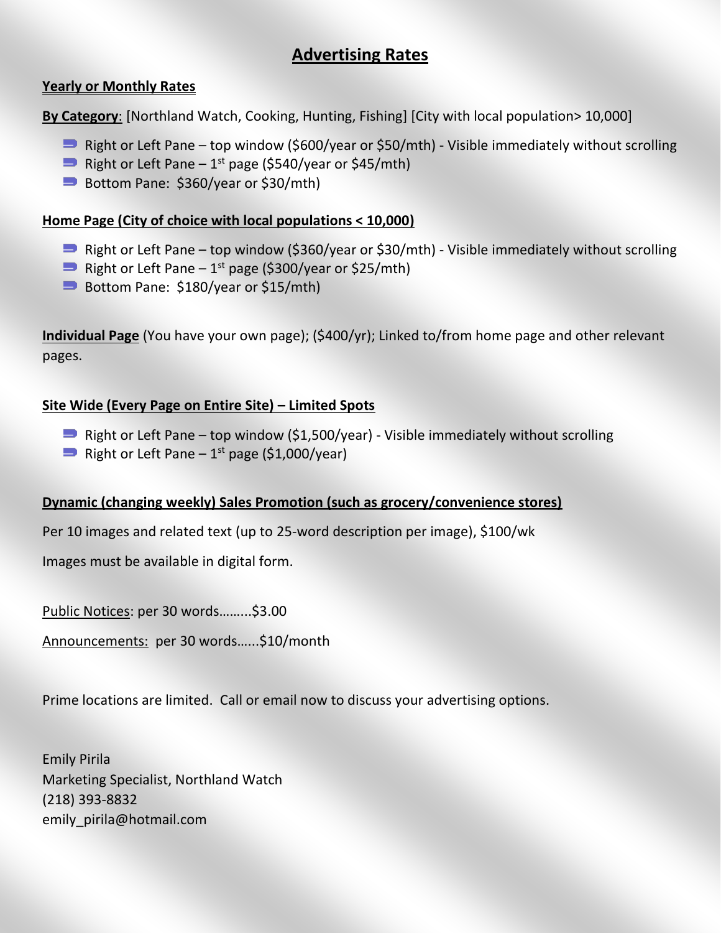### **Advertising Rates**

#### **Yearly or Monthly Rates**

**By Category**: [Northland Watch, Cooking, Hunting, Fishing] [City with local population> 10,000]

- **P** Right or Left Pane top window (\$600/year or \$50/mth) Visible immediately without scrolling
- Right or Left Pane  $-1<sup>st</sup>$  page (\$540/year or \$45/mth)
- Bottom Pane:  $$360/year$  or  $$30/mth$ )

#### **Home Page (City of choice with local populations < 10,000)**

- **P** Right or Left Pane top window (\$360/year or \$30/mth) Visible immediately without scrolling
- Right or Left Pane  $-1<sup>st</sup>$  page (\$300/year or \$25/mth)
- Bottom Pane:  $$180/year$  or  $$15/mth$ )

**Individual Page** (You have your own page); (\$400/yr); Linked to/from home page and other relevant pages.

#### **Site Wide (Every Page on Entire Site) – Limited Spots**

- $\implies$  Right or Left Pane top window (\$1,500/year) Visible immediately without scrolling
- Right or Left Pane  $-1<sup>st</sup>$  page (\$1,000/year)

#### **Dynamic (changing weekly) Sales Promotion (such as grocery/convenience stores)**

Per 10 images and related text (up to 25-word description per image), \$100/wk

Images must be available in digital form.

Public Notices: per 30 words……...\$3.00

Announcements: per 30 words…...\$10/month

Prime locations are limited. Call or email now to discuss your advertising options.

Emily Pirila Marketing Specialist, Northland Watch (218) 393-8832 emily\_pirila@hotmail.com